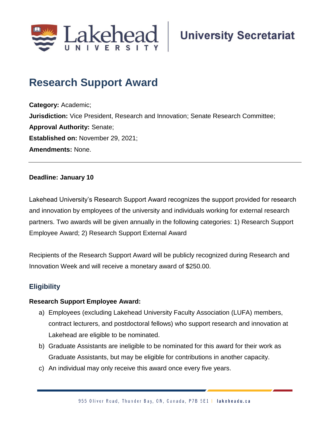

# **Research Support Award**

**Category:** Academic; **Jurisdiction:** Vice President, Research and Innovation; Senate Research Committee; **Approval Authority:** Senate; **Established on:** November 29, 2021; **Amendments:** None.

#### **Deadline: January 10**

Lakehead University's Research Support Award recognizes the support provided for research and innovation by employees of the university and individuals working for external research partners. Two awards will be given annually in the following categories: 1) Research Support Employee Award; 2) Research Support External Award

Recipients of the Research Support Award will be publicly recognized during Research and Innovation Week and will receive a monetary award of \$250.00.

## **Eligibility**

#### **Research Support Employee Award:**

- a) Employees (excluding Lakehead University Faculty Association (LUFA) members, contract lecturers, and postdoctoral fellows) who support research and innovation at Lakehead are eligible to be nominated.
- b) Graduate Assistants are ineligible to be nominated for this award for their work as Graduate Assistants, but may be eligible for contributions in another capacity.
- c) An individual may only receive this award once every five years.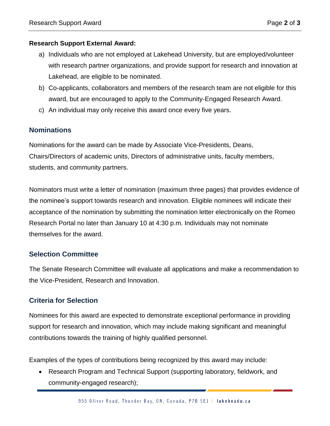#### **Research Support External Award:**

- a) Individuals who are not employed at Lakehead University, but are employed/volunteer with research partner organizations, and provide support for research and innovation at Lakehead, are eligible to be nominated.
- b) Co-applicants, collaborators and members of the research team are not eligible for this award, but are encouraged to apply to the Community-Engaged Research Award.
- c) An individual may only receive this award once every five years.

## **Nominations**

Nominations for the award can be made by Associate Vice-Presidents, Deans, Chairs/Directors of academic units, Directors of administrative units, faculty members, students, and community partners.

Nominators must write a letter of nomination (maximum three pages) that provides evidence of the nominee's support towards research and innovation. Eligible nominees will indicate their acceptance of the nomination by submitting the nomination letter electronically on the Romeo Research Portal no later than January 10 at 4:30 p.m. Individuals may not nominate themselves for the award.

## **Selection Committee**

The Senate Research Committee will evaluate all applications and make a recommendation to the Vice-President, Research and Innovation.

## **Criteria for Selection**

Nominees for this award are expected to demonstrate exceptional performance in providing support for research and innovation, which may include making significant and meaningful contributions towards the training of highly qualified personnel.

Examples of the types of contributions being recognized by this award may include:

 Research Program and Technical Support (supporting laboratory, fieldwork, and community-engaged research);